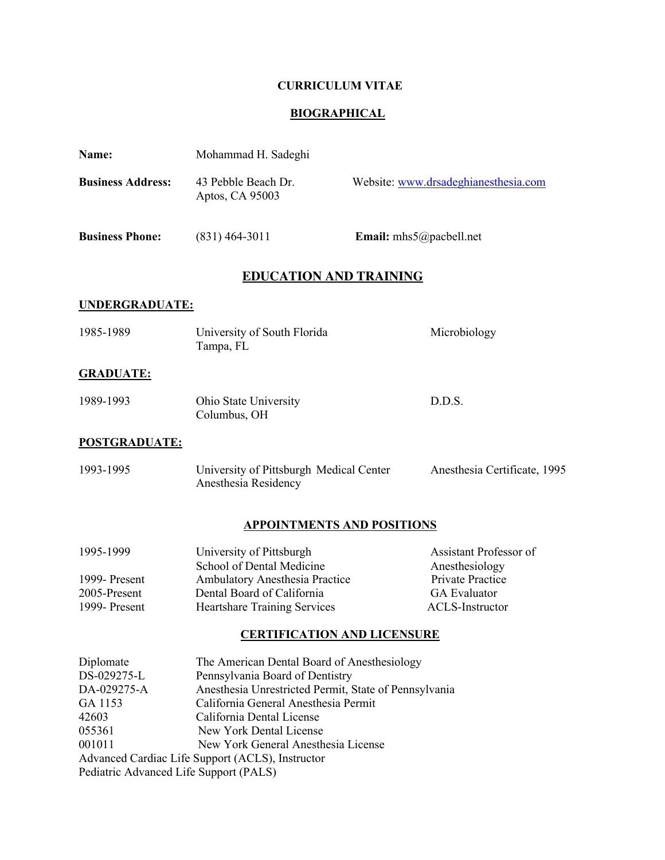# **CURRICULUM VITAE**

# **BIOGRAPHICAL**

| Name:                                                                                                                     | Mohammad H. Sadeghi                                                                                                                                                                                                                                                                                                                |                                                                                                               |  |  |
|---------------------------------------------------------------------------------------------------------------------------|------------------------------------------------------------------------------------------------------------------------------------------------------------------------------------------------------------------------------------------------------------------------------------------------------------------------------------|---------------------------------------------------------------------------------------------------------------|--|--|
| <b>Business Address:</b>                                                                                                  | 43 Pebble Beach Dr.<br>Aptos, CA 95003                                                                                                                                                                                                                                                                                             | Website: www.drsadeghianesthesia.com                                                                          |  |  |
| <b>Business Phone:</b>                                                                                                    | $(831)$ 464-3011                                                                                                                                                                                                                                                                                                                   | <b>Email:</b> mhs5@pacbell.net                                                                                |  |  |
| <b>EDUCATION AND TRAINING</b>                                                                                             |                                                                                                                                                                                                                                                                                                                                    |                                                                                                               |  |  |
| <b>UNDERGRADUATE:</b>                                                                                                     |                                                                                                                                                                                                                                                                                                                                    |                                                                                                               |  |  |
| 1985-1989                                                                                                                 | University of South Florida<br>Tampa, FL                                                                                                                                                                                                                                                                                           | Microbiology                                                                                                  |  |  |
| <b>GRADUATE:</b>                                                                                                          |                                                                                                                                                                                                                                                                                                                                    |                                                                                                               |  |  |
| 1989-1993                                                                                                                 | Ohio State University<br>Columbus, OH                                                                                                                                                                                                                                                                                              | D.D.S.                                                                                                        |  |  |
| <b>POSTGRADUATE:</b>                                                                                                      |                                                                                                                                                                                                                                                                                                                                    |                                                                                                               |  |  |
| 1993-1995                                                                                                                 | University of Pittsburgh Medical Center<br>Anesthesia Residency                                                                                                                                                                                                                                                                    | Anesthesia Certificate, 1995                                                                                  |  |  |
|                                                                                                                           | <b>APPOINTMENTS AND POSITIONS</b>                                                                                                                                                                                                                                                                                                  |                                                                                                               |  |  |
| 1995-1999<br>1999- Present<br>2005-Present<br>1999- Present                                                               | University of Pittsburgh<br>School of Dental Medicine<br>Ambulatory Anesthesia Practice<br>Dental Board of California<br><b>Heartshare Training Services</b>                                                                                                                                                                       | Assistant Professor of<br>Anesthesiology<br><b>Private Practice</b><br><b>GA</b> Evaluator<br>ACLS-Instructor |  |  |
|                                                                                                                           | <b>CERTIFICATION AND LICENSURE</b>                                                                                                                                                                                                                                                                                                 |                                                                                                               |  |  |
| Diplomate<br>DS-029275-L<br>DA-029275-A<br>GA 1153<br>42603<br>055361<br>001011<br>Pediatric Advanced Life Support (PALS) | The American Dental Board of Anesthesiology<br>Pennsylvania Board of Dentistry<br>Anesthesia Unrestricted Permit, State of Pennsylvania<br>California General Anesthesia Permit<br>California Dental License<br>New York Dental License<br>New York General Anesthesia License<br>Advanced Cardiac Life Support (ACLS), Instructor |                                                                                                               |  |  |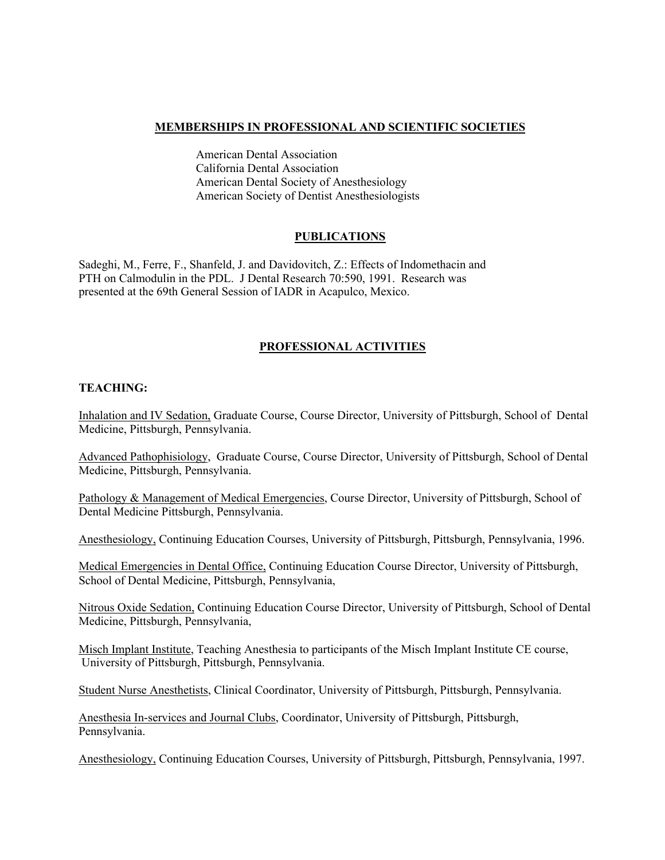#### **MEMBERSHIPS IN PROFESSIONAL AND SCIENTIFIC SOCIETIES**

American Dental Association California Dental Association American Dental Society of Anesthesiology American Society of Dentist Anesthesiologists

#### **PUBLICATIONS**

Sadeghi, M., Ferre, F., Shanfeld, J. and Davidovitch, Z.: Effects of Indomethacin and PTH on Calmodulin in the PDL. J Dental Research 70:590, 1991. Research was presented at the 69th General Session of IADR in Acapulco, Mexico.

## **PROFESSIONAL ACTIVITIES**

### **TEACHING:**

Inhalation and IV Sedation, Graduate Course, Course Director, University of Pittsburgh, School of Dental Medicine, Pittsburgh, Pennsylvania.

Advanced Pathophisiology, Graduate Course, Course Director, University of Pittsburgh, School of Dental Medicine, Pittsburgh, Pennsylvania.

Pathology & Management of Medical Emergencies, Course Director, University of Pittsburgh, School of Dental Medicine Pittsburgh, Pennsylvania.

Anesthesiology, Continuing Education Courses, University of Pittsburgh, Pittsburgh, Pennsylvania, 1996.

Medical Emergencies in Dental Office, Continuing Education Course Director, University of Pittsburgh, School of Dental Medicine, Pittsburgh, Pennsylvania,

Nitrous Oxide Sedation, Continuing Education Course Director, University of Pittsburgh, School of Dental Medicine, Pittsburgh, Pennsylvania,

Misch Implant Institute, Teaching Anesthesia to participants of the Misch Implant Institute CE course, University of Pittsburgh, Pittsburgh, Pennsylvania.

Student Nurse Anesthetists, Clinical Coordinator, University of Pittsburgh, Pittsburgh, Pennsylvania.

Anesthesia In-services and Journal Clubs, Coordinator, University of Pittsburgh, Pittsburgh, Pennsylvania.

Anesthesiology, Continuing Education Courses, University of Pittsburgh, Pittsburgh, Pennsylvania, 1997.